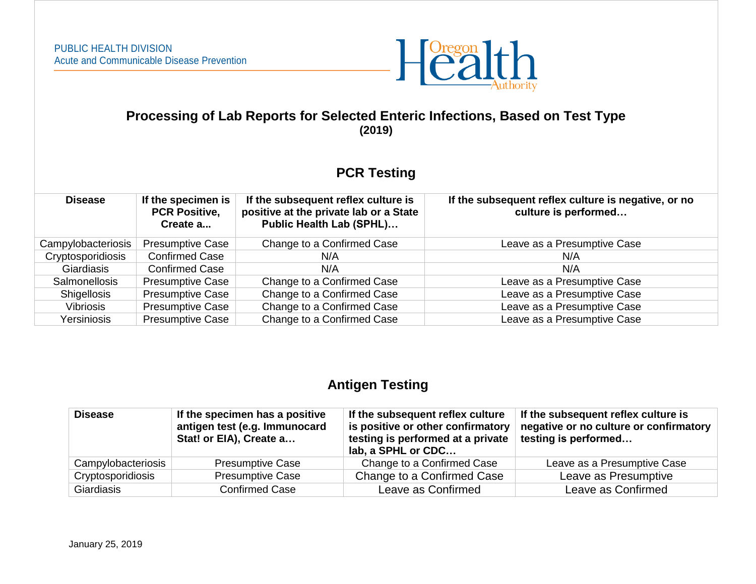

## **Processing of Lab Reports for Selected Enteric Infections, Based on Test Type (2019)**

## **PCR Testing**

| <b>Disease</b>     | If the specimen is<br><b>PCR Positive,</b><br>Create a | If the subsequent reflex culture is<br>positive at the private lab or a State<br><b>Public Health Lab (SPHL)</b> | If the subsequent reflex culture is negative, or no<br>culture is performed |
|--------------------|--------------------------------------------------------|------------------------------------------------------------------------------------------------------------------|-----------------------------------------------------------------------------|
| Campylobacteriosis | <b>Presumptive Case</b>                                | Change to a Confirmed Case                                                                                       | Leave as a Presumptive Case                                                 |
| Cryptosporidiosis  | <b>Confirmed Case</b>                                  | N/A                                                                                                              | N/A                                                                         |
| <b>Giardiasis</b>  | <b>Confirmed Case</b>                                  | N/A                                                                                                              | N/A                                                                         |
| Salmonellosis      | <b>Presumptive Case</b>                                | Change to a Confirmed Case                                                                                       | Leave as a Presumptive Case                                                 |
| <b>Shigellosis</b> | <b>Presumptive Case</b>                                | Change to a Confirmed Case                                                                                       | Leave as a Presumptive Case                                                 |
| Vibriosis          | <b>Presumptive Case</b>                                | Change to a Confirmed Case                                                                                       | Leave as a Presumptive Case                                                 |
| Yersiniosis        | <b>Presumptive Case</b>                                | Change to a Confirmed Case                                                                                       | Leave as a Presumptive Case                                                 |

## **Antigen Testing**

| <b>Disease</b>     | If the specimen has a positive<br>antigen test (e.g. Immunocard<br>Stat! or EIA), Create a | If the subsequent reflex culture<br>is positive or other confirmatory<br>testing is performed at a private<br>lab, a SPHL or CDC | If the subsequent reflex culture is<br>negative or no culture or confirmatory<br>testing is performed |
|--------------------|--------------------------------------------------------------------------------------------|----------------------------------------------------------------------------------------------------------------------------------|-------------------------------------------------------------------------------------------------------|
| Campylobacteriosis | <b>Presumptive Case</b>                                                                    | Change to a Confirmed Case                                                                                                       | Leave as a Presumptive Case                                                                           |
| Cryptosporidiosis  | <b>Presumptive Case</b>                                                                    | Change to a Confirmed Case                                                                                                       | Leave as Presumptive                                                                                  |
| Giardiasis         | <b>Confirmed Case</b>                                                                      | Leave as Confirmed                                                                                                               | Leave as Confirmed                                                                                    |